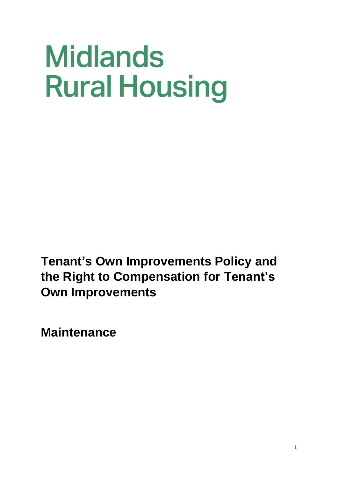# **Midlands Rural Housing**

**Tenant's Own Improvements Policy and the Right to Compensation for Tenant's Own Improvements**

**Maintenance**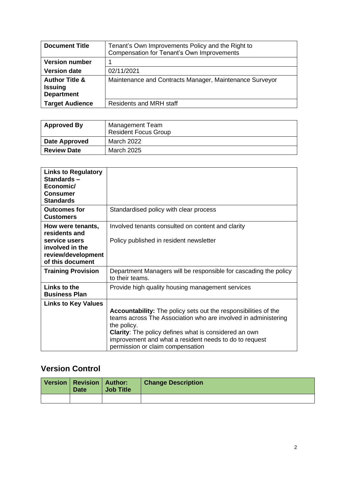| <b>Document Title</b>                                            | Tenant's Own Improvements Policy and the Right to<br>Compensation for Tenant's Own Improvements |  |
|------------------------------------------------------------------|-------------------------------------------------------------------------------------------------|--|
| <b>Version number</b>                                            |                                                                                                 |  |
| <b>Version date</b>                                              | 02/11/2021                                                                                      |  |
| <b>Author Title &amp;</b><br><b>Issuing</b><br><b>Department</b> | Maintenance and Contracts Manager, Maintenance Surveyor                                         |  |
| <b>Target Audience</b>                                           | <b>Residents and MRH staff</b>                                                                  |  |

| <b>Approved By</b> | Management Team<br><b>Resident Focus Group</b> |  |
|--------------------|------------------------------------------------|--|
| Date Approved      | March 2022                                     |  |
| <b>Review Date</b> | March 2025                                     |  |

| <b>Links to Regulatory</b><br>Standards-<br>Economic/<br><b>Consumer</b><br><b>Standards</b>                     |                                                                                                                                                                                                                                                                                                                       |
|------------------------------------------------------------------------------------------------------------------|-----------------------------------------------------------------------------------------------------------------------------------------------------------------------------------------------------------------------------------------------------------------------------------------------------------------------|
| <b>Outcomes for</b><br><b>Customers</b>                                                                          | Standardised policy with clear process                                                                                                                                                                                                                                                                                |
| How were tenants,<br>residents and<br>service users<br>involved in the<br>review/development<br>of this document | Involved tenants consulted on content and clarity<br>Policy published in resident newsletter                                                                                                                                                                                                                          |
| <b>Training Provision</b>                                                                                        | Department Managers will be responsible for cascading the policy<br>to their teams.                                                                                                                                                                                                                                   |
| Links to the<br><b>Business Plan</b>                                                                             | Provide high quality housing management services                                                                                                                                                                                                                                                                      |
| <b>Links to Key Values</b>                                                                                       | <b>Accountability:</b> The policy sets out the responsibilities of the<br>teams across The Association who are involved in administering<br>the policy.<br><b>Clarity:</b> The policy defines what is considered an own<br>improvement and what a resident needs to do to request<br>permission or claim compensation |

## **Version Control**

|  | Version   Revision   Author:<br><b>Date</b> | <b>Job Title</b> | <b>Change Description</b> |
|--|---------------------------------------------|------------------|---------------------------|
|  |                                             |                  |                           |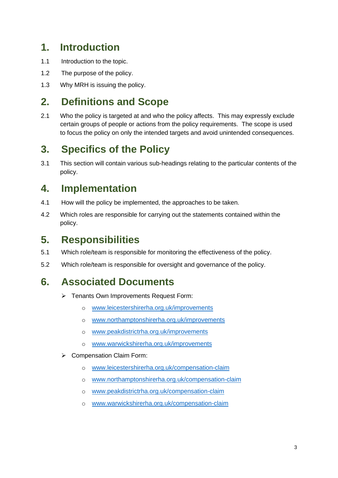## **1. Introduction**

- 1.1 Introduction to the topic.
- 1.2 The purpose of the policy.
- 1.3 Why MRH is issuing the policy.

# **2. Definitions and Scope**

2.1 Who the policy is targeted at and who the policy affects. This may expressly exclude certain groups of people or actions from the policy requirements. The scope is used to focus the policy on only the intended targets and avoid unintended consequences.

# **3. Specifics of the Policy**

3.1 This section will contain various sub-headings relating to the particular contents of the policy.

# **4. Implementation**

- 4.1 How will the policy be implemented, the approaches to be taken.
- 4.2 Which roles are responsible for carrying out the statements contained within the policy.

## **5. Responsibilities**

- 5.1 Which role/team is responsible for monitoring the effectiveness of the policy.
- 5.2 Which role/team is responsible for oversight and governance of the policy.

## **6. Associated Documents**

- ➢ Tenants Own Improvements Request Form:
	- o [www.leicestershirerha.org.uk/improvements](http://www.leicestershirerha.org.uk/improvements)
	- o [www.northamptonshirerha.org.uk/improvements](http://www.northamptonshirerha.org.uk/improvements)
	- o [www.peakdistrictrha.org.uk/improvements](http://www.peakdistrictrha.org.uk/improvements)
	- o [www.warwickshirerha.org.uk/improvements](http://www.warwickshirerha.org.uk/improvements)
- ➢ Compensation Claim Form:
	- o [www.leicestershirerha.org.uk/compensation-claim](http://www.leicestershirerha.org.uk/compensation-claim)
	- o [www.northamptonshirerha.org.uk/compensation-claim](http://www.northamptonshirerha.org.uk/compensation-claim)
	- o [www.peakdistrictrha.org.uk/compensation-claim](http://www.peakdistrictrha.org.uk/compensation-claim)
	- o [www.warwickshirerha.org.uk/compensation-claim](http://www.warwickshirerha.org.uk/compensation-claim)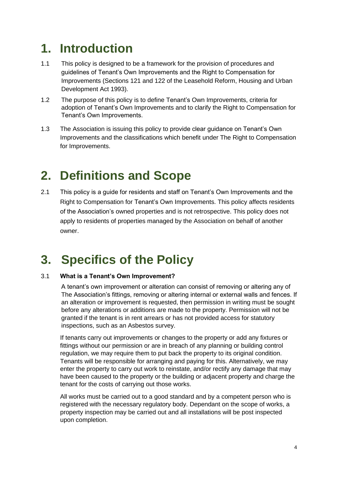# **1. Introduction**

- 1.1 This policy is designed to be a framework for the provision of procedures and guidelines of Tenant's Own Improvements and the Right to Compensation for Improvements (Sections 121 and 122 of the Leasehold Reform, Housing and Urban Development Act 1993).
- 1.2 The purpose of this policy is to define Tenant's Own Improvements, criteria for adoption of Tenant's Own Improvements and to clarify the Right to Compensation for Tenant's Own Improvements.
- 1.3 The Association is issuing this policy to provide clear guidance on Tenant's Own Improvements and the classifications which benefit under The Right to Compensation for Improvements.

# **2. Definitions and Scope**

2.1 This policy is a guide for residents and staff on Tenant's Own Improvements and the Right to Compensation for Tenant's Own Improvements. This policy affects residents of the Association's owned properties and is not retrospective. This policy does not apply to residents of properties managed by the Association on behalf of another owner.

# **3. Specifics of the Policy**

#### 3.1 **What is a Tenant's Own Improvement?**

A tenant's own improvement or alteration can consist of removing or altering any of The Association's fittings, removing or altering internal or external walls and fences. If an alteration or improvement is requested, then permission in writing must be sought before any alterations or additions are made to the property. Permission will not be granted if the tenant is in rent arrears or has not provided access for statutory inspections, such as an Asbestos survey.

If tenants carry out improvements or changes to the property or add any fixtures or fittings without our permission or are in breach of any planning or building control regulation, we may require them to put back the property to its original condition. Tenants will be responsible for arranging and paying for this. Alternatively, we may enter the property to carry out work to reinstate, and/or rectify any damage that may have been caused to the property or the building or adjacent property and charge the tenant for the costs of carrying out those works.

All works must be carried out to a good standard and by a competent person who is registered with the necessary regulatory body. Dependant on the scope of works, a property inspection may be carried out and all installations will be post inspected upon completion.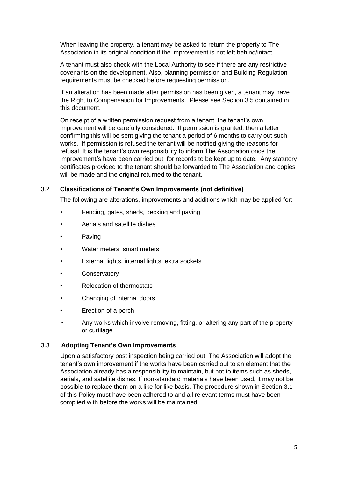When leaving the property, a tenant may be asked to return the property to The Association in its original condition if the improvement is not left behind/intact.

A tenant must also check with the Local Authority to see if there are any restrictive covenants on the development. Also, planning permission and Building Regulation requirements must be checked before requesting permission.

If an alteration has been made after permission has been given, a tenant may have the Right to Compensation for Improvements. Please see Section 3.5 contained in this document.

On receipt of a written permission request from a tenant, the tenant's own improvement will be carefully considered. If permission is granted, then a letter confirming this will be sent giving the tenant a period of 6 months to carry out such works. If permission is refused the tenant will be notified giving the reasons for refusal. It is the tenant's own responsibility to inform The Association once the improvement/s have been carried out, for records to be kept up to date. Any statutory certificates provided to the tenant should be forwarded to The Association and copies will be made and the original returned to the tenant.

#### 3.2 **Classifications of Tenant's Own Improvements (not definitive)**

The following are alterations, improvements and additions which may be applied for:

- Fencing, gates, sheds, decking and paving
- Aerials and satellite dishes
- **Paving**
- Water meters, smart meters
- External lights, internal lights, extra sockets
- **Conservatory**
- Relocation of thermostats
- Changing of internal doors
- Erection of a porch
- Any works which involve removing, fitting, or altering any part of the property or curtilage

#### 3.3 **Adopting Tenant's Own Improvements**

Upon a satisfactory post inspection being carried out, The Association will adopt the tenant's own improvement if the works have been carried out to an element that the Association already has a responsibility to maintain, but not to items such as sheds, aerials, and satellite dishes. If non-standard materials have been used, it may not be possible to replace them on a like for like basis. The procedure shown in Section 3.1 of this Policy must have been adhered to and all relevant terms must have been complied with before the works will be maintained.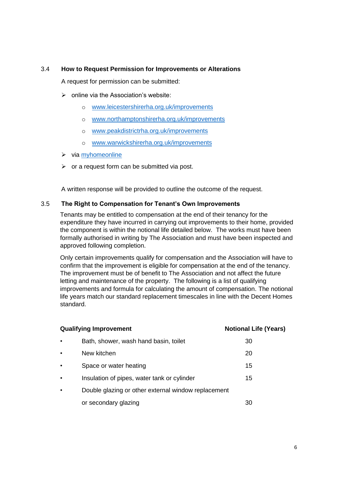#### 3.4 **How to Request Permission for Improvements or Alterations**

A request for permission can be submitted:

- $\triangleright$  online via the Association's website:
	- o [www.leicestershirerha.org.uk/improvements](http://www.leicestershirerha.org.uk/improvements)
	- o [www.northamptonshirerha.org.uk/improvements](http://www.northamptonshirerha.org.uk/improvements)
	- o [www.peakdistrictrha.org.uk/improvements](http://www.peakdistrictrha.org.uk/improvements)
	- o [www.warwickshirerha.org.uk/improvements](http://www.warwickshirerha.org.uk/improvements)
- ➢ via [myhomeonline](https://www.myhomeonline.org.uk/midsrur/www/dashboard)
- $\triangleright$  or a request form can be submitted via post.

A written response will be provided to outline the outcome of the request.

#### 3.5 **The Right to Compensation for Tenant's Own Improvements**

Tenants may be entitled to compensation at the end of their tenancy for the expenditure they have incurred in carrying out improvements to their home, provided the component is within the notional life detailed below. The works must have been formally authorised in writing by The Association and must have been inspected and approved following completion.

Only certain improvements qualify for compensation and the Association will have to confirm that the improvement is eligible for compensation at the end of the tenancy. The improvement must be of benefit to The Association and not affect the future letting and maintenance of the property. The following is a list of qualifying improvements and formula for calculating the amount of compensation. The notional life years match our standard replacement timescales in line with the Decent Homes standard.

| <b>Qualifying Improvement</b> |                                                     | <b>Notional Life (Years)</b> |
|-------------------------------|-----------------------------------------------------|------------------------------|
| $\bullet$                     | Bath, shower, wash hand basin, toilet               | 30                           |
| $\bullet$                     | New kitchen                                         | 20                           |
| $\bullet$                     | Space or water heating                              | 15                           |
| $\bullet$                     | Insulation of pipes, water tank or cylinder         | 15                           |
| $\bullet$                     | Double glazing or other external window replacement |                              |
|                               | or secondary glazing                                | 30                           |
|                               |                                                     |                              |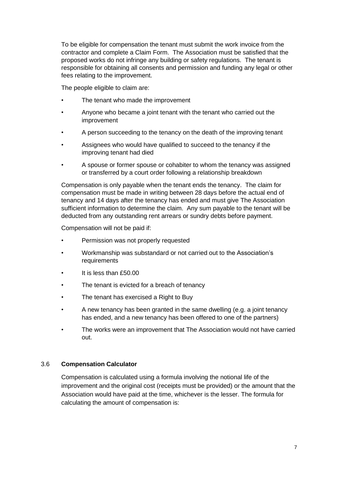To be eligible for compensation the tenant must submit the work invoice from the contractor and complete a Claim Form. The Association must be satisfied that the proposed works do not infringe any building or safety regulations. The tenant is responsible for obtaining all consents and permission and funding any legal or other fees relating to the improvement.

The people eligible to claim are:

- The tenant who made the improvement
- Anyone who became a joint tenant with the tenant who carried out the improvement
- A person succeeding to the tenancy on the death of the improving tenant
- Assignees who would have qualified to succeed to the tenancy if the improving tenant had died
- A spouse or former spouse or cohabiter to whom the tenancy was assigned or transferred by a court order following a relationship breakdown

Compensation is only payable when the tenant ends the tenancy. The claim for compensation must be made in writing between 28 days before the actual end of tenancy and 14 days after the tenancy has ended and must give The Association sufficient information to determine the claim. Any sum payable to the tenant will be deducted from any outstanding rent arrears or sundry debts before payment.

Compensation will not be paid if:

- Permission was not properly requested
- Workmanship was substandard or not carried out to the Association's requirements
- It is less than £50.00
- The tenant is evicted for a breach of tenancy
- The tenant has exercised a Right to Buy
- A new tenancy has been granted in the same dwelling (e.g. a joint tenancy has ended, and a new tenancy has been offered to one of the partners)
- The works were an improvement that The Association would not have carried out.

#### 3.6 **Compensation Calculator**

Compensation is calculated using a formula involving the notional life of the improvement and the original cost (receipts must be provided) or the amount that the Association would have paid at the time, whichever is the lesser. The formula for calculating the amount of compensation is: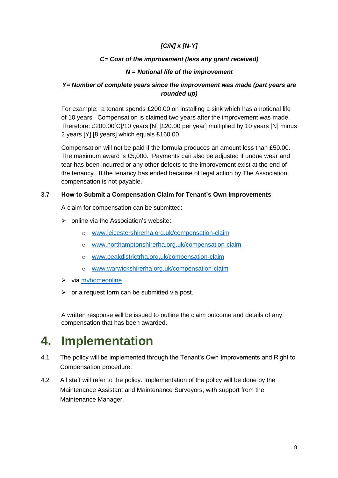#### *[C/N] x [N-Y]*

#### *C= Cost of the improvement (less any grant received)*

#### *N = Notional life of the improvement*

#### *Y= Number of complete years since the improvement was made (part years are rounded up)*

For example: a tenant spends £200.00 on installing a sink which has a notional life of 10 years. Compensation is claimed two years after the improvement was made. Therefore: £200.00[C]/10 years [N] [£20.00 per year] multiplied by 10 years [N] minus 2 years [Y] [8 years] which equals £160.00.

Compensation will not be paid if the formula produces an amount less than £50.00. The maximum award is £5,000. Payments can also be adjusted if undue wear and tear has been incurred or any other defects to the improvement exist at the end of the tenancy. If the tenancy has ended because of legal action by The Association, compensation is not payable.

#### 3.7 **How to Submit a Compensation Claim for Tenant's Own Improvements**

A claim for compensation can be submitted:

- ➢ online via the Association's website:
	- o [www.leicestershirerha.org.uk/compensation-claim](http://www.leicestershirerha.org.uk/compensation-claim)
	- o [www.northamptonshirerha.org.uk/compensation-claim](http://www.northamptonshirerha.org.uk/compensation-claim)
	- o [www.peakdistrictrha.org.uk/compensation-claim](http://www.peakdistrictrha.org.uk/compensation-claim)
	- o [www.warwickshirerha.org.uk/compensation-claim](http://www.warwickshirerha.org.uk/compensation-claim)
- ➢ via [myhomeonline](https://www.myhomeonline.org.uk/midsrur/www/dashboard)
- $\triangleright$  or a request form can be submitted via post.

A written response will be issued to outline the claim outcome and details of any compensation that has been awarded.

# **4. Implementation**

- 4.1 The policy will be implemented through the Tenant's Own Improvements and Right to Compensation procedure.
- 4.2 All staff will refer to the policy. Implementation of the policy will be done by the Maintenance Assistant and Maintenance Surveyors, with support from the Maintenance Manager.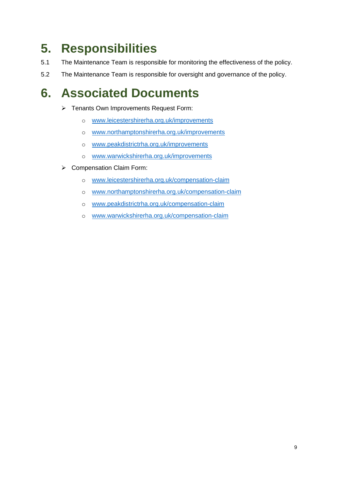# **5. Responsibilities**

- 5.1 The Maintenance Team is responsible for monitoring the effectiveness of the policy.
- 5.2 The Maintenance Team is responsible for oversight and governance of the policy.

# **6. Associated Documents**

- ➢ Tenants Own Improvements Request Form:
	- o [www.leicestershirerha.org.uk/improvements](http://www.leicestershirerha.org.uk/improvements)
	- o [www.northamptonshirerha.org.uk/improvements](http://www.northamptonshirerha.org.uk/improvements)
	- o [www.peakdistrictrha.org.uk/improvements](http://www.peakdistrictrha.org.uk/improvements)
	- o [www.warwickshirerha.org.uk/improvements](http://www.warwickshirerha.org.uk/improvements)
- ➢ Compensation Claim Form:
	- o [www.leicestershirerha.org.uk/compensation-claim](http://www.leicestershirerha.org.uk/compensation-claim)
	- o [www.northamptonshirerha.org.uk/compensation-claim](http://www.northamptonshirerha.org.uk/compensation-claim)
	- o [www.peakdistrictrha.org.uk/compensation-claim](http://www.peakdistrictrha.org.uk/compensation-claim)
	- o [www.warwickshirerha.org.uk/compensation-claim](http://www.warwickshirerha.org.uk/compensation-claim)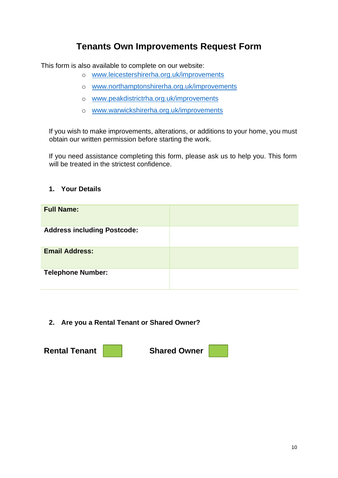### **Tenants Own Improvements Request Form**

This form is also available to complete on our website:

- o [www.leicestershirerha.org.uk/improvements](http://www.leicestershirerha.org.uk/improvements)
- o [www.northamptonshirerha.org.uk/improvements](http://www.northamptonshirerha.org.uk/improvements)
- o [www.peakdistrictrha.org.uk/improvements](http://www.peakdistrictrha.org.uk/improvements)
- o [www.warwickshirerha.org.uk/improvements](http://www.warwickshirerha.org.uk/improvements)

If you wish to make improvements, alterations, or additions to your home, you must obtain our written permission before starting the work.

If you need assistance completing this form, please ask us to help you. This form will be treated in the strictest confidence.

#### **1. Your Details**

| <b>Full Name:</b>                  |  |
|------------------------------------|--|
| <b>Address including Postcode:</b> |  |
| <b>Email Address:</b>              |  |
| <b>Telephone Number:</b>           |  |

**2. Are you a Rental Tenant or Shared Owner?**

**Rental Tenant Shared Owner**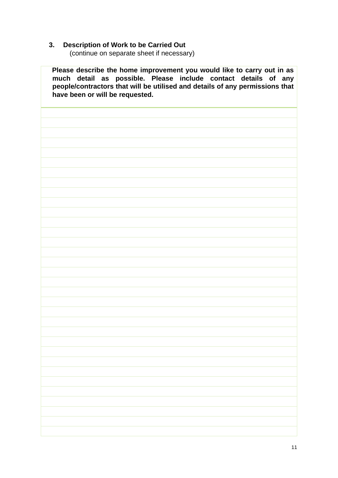#### **3. Description of Work to be Carried Out**

(continue on separate sheet if necessary)

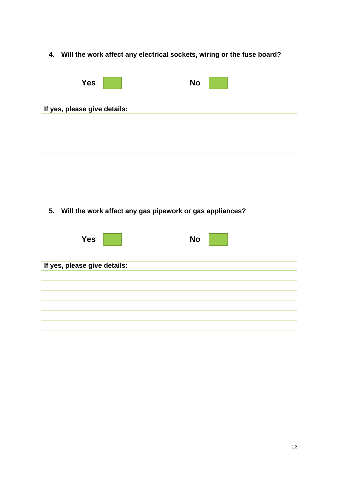**4. Will the work affect any electrical sockets, wiring or the fuse board?**

| <b>Yes</b>                   | <b>No</b> |
|------------------------------|-----------|
| If yes, please give details: |           |
|                              |           |
|                              |           |
|                              |           |
|                              |           |
|                              |           |
|                              |           |

**5. Will the work affect any gas pipework or gas appliances?**

| <b>Yes</b>                   | <b>No</b> |
|------------------------------|-----------|
| If yes, please give details: |           |
|                              |           |
|                              |           |
|                              |           |
|                              |           |
|                              |           |
|                              |           |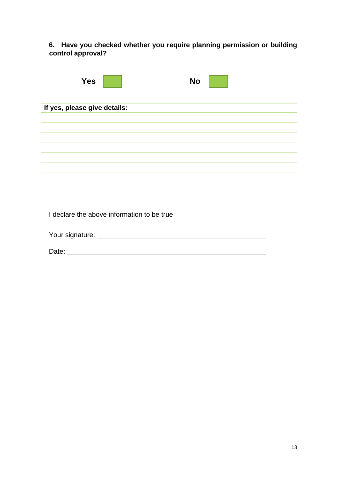**6. Have you checked whether you require planning permission or building control approval?**

| <b>Yes</b>                   | <b>No</b> |
|------------------------------|-----------|
| If yes, please give details: |           |
|                              |           |
|                              |           |
|                              |           |
|                              |           |
|                              |           |
|                              |           |

I declare the above information to be true

Your signature:

Date: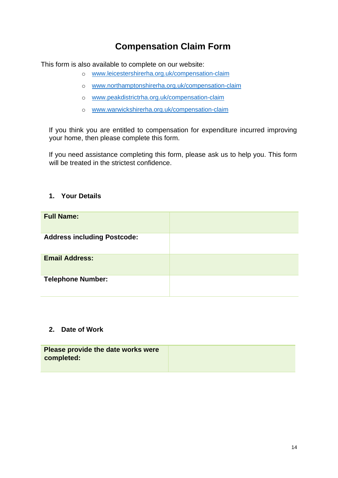## **Compensation Claim Form**

This form is also available to complete on our website:

- o [www.leicestershirerha.org.uk/compensation-claim](http://www.leicestershirerha.org.uk/compensation-claim)
- o [www.northamptonshirerha.org.uk/compensation-claim](http://www.northamptonshirerha.org.uk/compensation-claim)
- o [www.peakdistrictrha.org.uk/compensation-claim](http://www.peakdistrictrha.org.uk/compensation-claim)
- o [www.warwickshirerha.org.uk/compensation-claim](http://www.warwickshirerha.org.uk/compensation-claim)

If you think you are entitled to compensation for expenditure incurred improving your home, then please complete this form.

If you need assistance completing this form, please ask us to help you. This form will be treated in the strictest confidence.

#### **1. Your Details**

| <b>Full Name:</b>                  |  |
|------------------------------------|--|
| <b>Address including Postcode:</b> |  |
| <b>Email Address:</b>              |  |
| <b>Telephone Number:</b>           |  |

#### **2. Date of Work**

| Please provide the date works were |  |
|------------------------------------|--|
| completed:                         |  |
|                                    |  |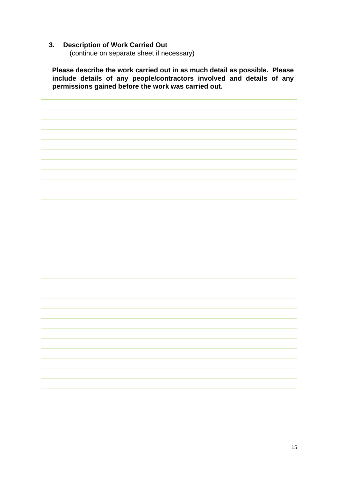#### **3. Description of Work Carried Out**

(continue on separate sheet if necessary)

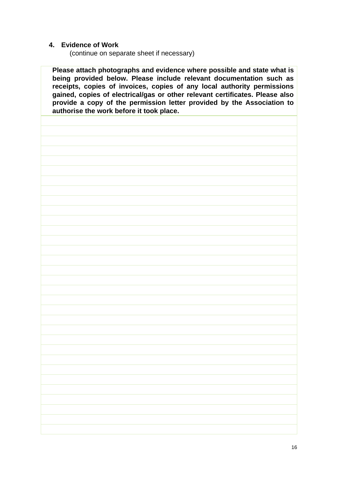#### **4. Evidence of Work**

(continue on separate sheet if necessary)

**being provided below. Please include relevant documentation such as receipts, copies of invoices, copies of any local authority permissions gained, copies of electrical/gas or other relevant certificates. Please also provide a copy of the permission letter provided by the Association to authorise the work before it took place.**

**Please attach photographs and evidence where possible and state what is**